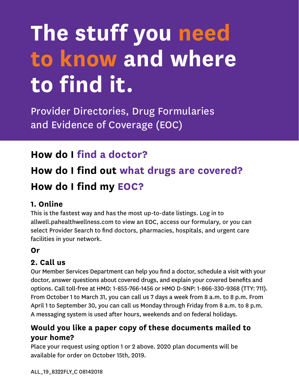# **The stuff you need to know and where to find it.**

Provider Directories, Drug Formularies and Evidence of Coverage (EOC)

### **How do I find a doctor?**

## **How do I find out what drugs are covered? How do I find my EOC?**

#### **1. Online**

This is the fastest way and has the most up-to-date listings. Log in to allwell.pahealthwellness.com to view an EOC, access our formulary, or you can select Provider Search to find doctors, pharmacies, hospitals, and urgent care facilities in your network.

#### **Or**

#### **2. Call us**

Our Member Services Department can help you find a doctor, schedule a visit with your doctor, answer questions about covered drugs, and explain your covered benefits and options. Call toll-free at HMO: 1-855-766-1456 or HMO D-SNP: 1-866-330-9368 (TTY: 711). From October 1 to March 31, you can call us 7 days a week from 8 a.m. to 8 p.m. From April 1 to September 30, you can call us Monday through Friday from 8 a.m. to 8 p.m. A messaging system is used after hours, weekends and on federal holidays.

#### **Would you like a paper copy of these documents mailed to your home?**

Place your request using option 1 or 2 above. 2020 plan documents will be available for order on October 15th, 2019.